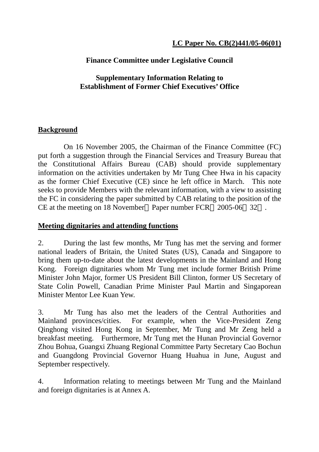## **Finance Committee under Legislative Council**

#### **Supplementary Information Relating to Establishment of Former Chief Executives' Office**

#### **Background**

 On 16 November 2005, the Chairman of the Finance Committee (FC) put forth a suggestion through the Financial Services and Treasury Bureau that the Constitutional Affairs Bureau (CAB) should provide supplementary information on the activities undertaken by Mr Tung Chee Hwa in his capacity as the former Chief Executive (CE) since he left office in March. This note seeks to provide Members with the relevant information, with a view to assisting the FC in considering the paper submitted by CAB relating to the position of the CE at the meeting on 18 November Paper number FCR 2005-06 32 .

#### **Meeting dignitaries and attending functions**

2. During the last few months, Mr Tung has met the serving and former national leaders of Britain, the United States (US), Canada and Singapore to bring them up-to-date about the latest developments in the Mainland and Hong Kong. Foreign dignitaries whom Mr Tung met include former British Prime Minister John Major, former US President Bill Clinton, former US Secretary of State Colin Powell, Canadian Prime Minister Paul Martin and Singaporean Minister Mentor Lee Kuan Yew.

3. Mr Tung has also met the leaders of the Central Authorities and Mainland provinces/cities. For example, when the Vice-President Zeng Qinghong visited Hong Kong in September, Mr Tung and Mr Zeng held a breakfast meeting. Furthermore, Mr Tung met the Hunan Provincial Governor Zhou Bohua, Guangxi Zhuang Regional Committee Party Secretary Cao Bochun and Guangdong Provincial Governor Huang Huahua in June, August and September respectively.

4. Information relating to meetings between Mr Tung and the Mainland and foreign dignitaries is at Annex A.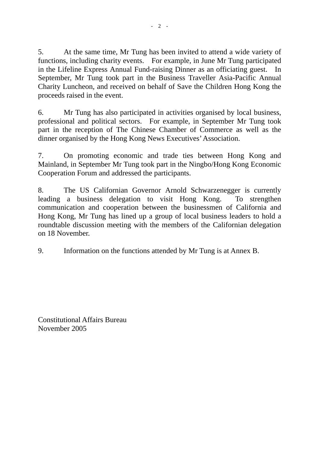5. At the same time, Mr Tung has been invited to attend a wide variety of functions, including charity events. For example, in June Mr Tung participated in the Lifeline Express Annual Fund-raising Dinner as an officiating guest. In September, Mr Tung took part in the Business Traveller Asia-Pacific Annual Charity Luncheon, and received on behalf of Save the Children Hong Kong the proceeds raised in the event.

6. Mr Tung has also participated in activities organised by local business, professional and political sectors. For example, in September Mr Tung took part in the reception of The Chinese Chamber of Commerce as well as the dinner organised by the Hong Kong News Executives' Association.

7. On promoting economic and trade ties between Hong Kong and Mainland, in September Mr Tung took part in the Ningbo/Hong Kong Economic Cooperation Forum and addressed the participants.

8. The US Californian Governor Arnold Schwarzenegger is currently leading a business delegation to visit Hong Kong. To strengthen communication and cooperation between the businessmen of California and Hong Kong, Mr Tung has lined up a group of local business leaders to hold a roundtable discussion meeting with the members of the Californian delegation on 18 November.

9. Information on the functions attended by Mr Tung is at Annex B.

Constitutional Affairs Bureau November 2005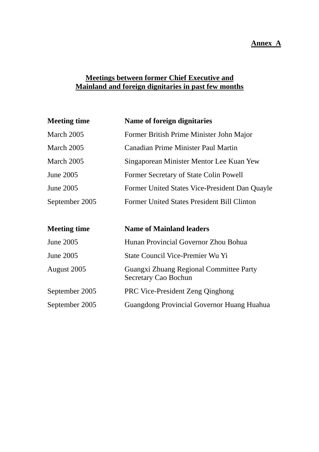#### **Annex A**

## **Meetings between former Chief Executive and Mainland and foreign dignitaries in past few months**

| <b>Meeting time</b> | Name of foreign dignitaries                                            |
|---------------------|------------------------------------------------------------------------|
| March 2005          | Former British Prime Minister John Major                               |
| March 2005          | <b>Canadian Prime Minister Paul Martin</b>                             |
| March 2005          | Singaporean Minister Mentor Lee Kuan Yew                               |
| June 2005           | Former Secretary of State Colin Powell                                 |
| June 2005           | Former United States Vice-President Dan Quayle                         |
| September 2005      | Former United States President Bill Clinton                            |
|                     |                                                                        |
| <b>Meeting time</b> | <b>Name of Mainland leaders</b>                                        |
| June 2005           | Hunan Provincial Governor Zhou Bohua                                   |
| June 2005           | State Council Vice-Premier Wu Yi                                       |
| August 2005         | Guangxi Zhuang Regional Committee Party<br><b>Secretary Cao Bochun</b> |
| September 2005      | <b>PRC Vice-President Zeng Qinghong</b>                                |
| September 2005      | Guangdong Provincial Governor Huang Huahua                             |